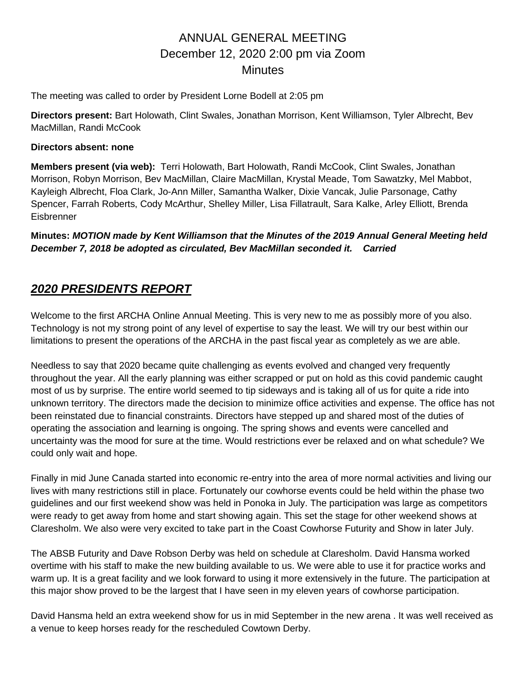The meeting was called to order by President Lorne Bodell at 2:05 pm

**Directors present:** Bart Holowath, Clint Swales, Jonathan Morrison, Kent Williamson, Tyler Albrecht, Bev MacMillan, Randi McCook

#### **Directors absent: none**

**Members present (via web):** Terri Holowath, Bart Holowath, Randi McCook, Clint Swales, Jonathan Morrison, Robyn Morrison, Bev MacMillan, Claire MacMillan, Krystal Meade, Tom Sawatzky, Mel Mabbot, Kayleigh Albrecht, Floa Clark, Jo-Ann Miller, Samantha Walker, Dixie Vancak, Julie Parsonage, Cathy Spencer, Farrah Roberts, Cody McArthur, Shelley Miller, Lisa Fillatrault, Sara Kalke, Arley Elliott, Brenda **Eisbrenner** 

**Minutes:** *MOTION made by Kent Williamson that the Minutes of the 2019 Annual General Meeting held December 7, 2018 be adopted as circulated, Bev MacMillan seconded it. Carried*

## *2020 PRESIDENTS REPORT*

Welcome to the first ARCHA Online Annual Meeting. This is very new to me as possibly more of you also. Technology is not my strong point of any level of expertise to say the least. We will try our best within our limitations to present the operations of the ARCHA in the past fiscal year as completely as we are able.

Needless to say that 2020 became quite challenging as events evolved and changed very frequently throughout the year. All the early planning was either scrapped or put on hold as this covid pandemic caught most of us by surprise. The entire world seemed to tip sideways and is taking all of us for quite a ride into unknown territory. The directors made the decision to minimize office activities and expense. The office has not been reinstated due to financial constraints. Directors have stepped up and shared most of the duties of operating the association and learning is ongoing. The spring shows and events were cancelled and uncertainty was the mood for sure at the time. Would restrictions ever be relaxed and on what schedule? We could only wait and hope.

Finally in mid June Canada started into economic re-entry into the area of more normal activities and living our lives with many restrictions still in place. Fortunately our cowhorse events could be held within the phase two guidelines and our first weekend show was held in Ponoka in July. The participation was large as competitors were ready to get away from home and start showing again. This set the stage for other weekend shows at Claresholm. We also were very excited to take part in the Coast Cowhorse Futurity and Show in later July.

The ABSB Futurity and Dave Robson Derby was held on schedule at Claresholm. David Hansma worked overtime with his staff to make the new building available to us. We were able to use it for practice works and warm up. It is a great facility and we look forward to using it more extensively in the future. The participation at this major show proved to be the largest that I have seen in my eleven years of cowhorse participation.

David Hansma held an extra weekend show for us in mid September in the new arena . It was well received as a venue to keep horses ready for the rescheduled Cowtown Derby.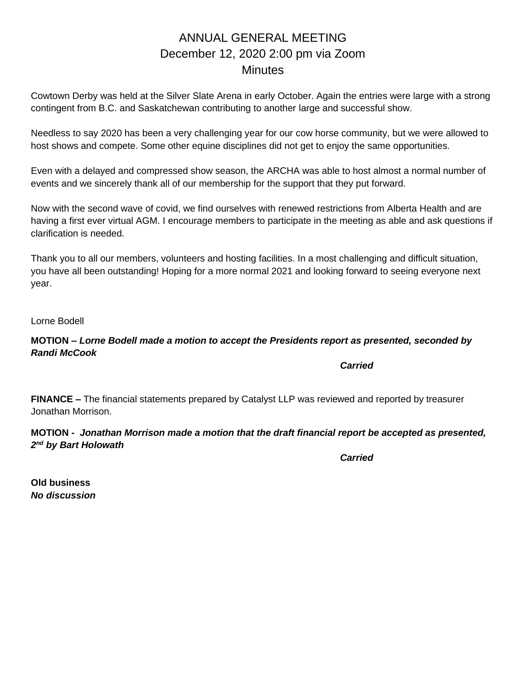Cowtown Derby was held at the Silver Slate Arena in early October. Again the entries were large with a strong contingent from B.C. and Saskatchewan contributing to another large and successful show.

Needless to say 2020 has been a very challenging year for our cow horse community, but we were allowed to host shows and compete. Some other equine disciplines did not get to enjoy the same opportunities.

Even with a delayed and compressed show season, the ARCHA was able to host almost a normal number of events and we sincerely thank all of our membership for the support that they put forward.

Now with the second wave of covid, we find ourselves with renewed restrictions from Alberta Health and are having a first ever virtual AGM. I encourage members to participate in the meeting as able and ask questions if clarification is needed.

Thank you to all our members, volunteers and hosting facilities. In a most challenging and difficult situation, you have all been outstanding! Hoping for a more normal 2021 and looking forward to seeing everyone next year.

Lorne Bodell

### **MOTION –** *Lorne Bodell made a motion to accept the Presidents report as presented, seconded by Randi McCook*

*Carried*

**FINANCE –** The financial statements prepared by Catalyst LLP was reviewed and reported by treasurer Jonathan Morrison.

### **MOTION -** *Jonathan Morrison made a motion that the draft financial report be accepted as presented, 2 nd by Bart Holowath*

*Carried*

**Old business** *No discussion*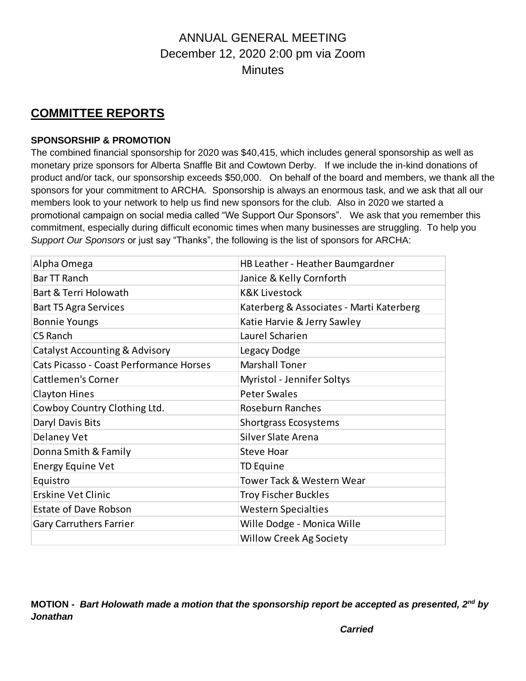## **COMMITTEE REPORTS**

## **SPONSORSHIP & PROMOTION**

The combined financial sponsorship for 2020 was \$40,415, which includes general sponsorship as well as monetary prize sponsors for Alberta Snaffle Bit and Cowtown Derby. If we include the in-kind donations of product and/or tack, our sponsorship exceeds \$50,000. On behalf of the board and members, we thank all the sponsors for your commitment to ARCHA. Sponsorship is always an enormous task, and we ask that all our members look to your network to help us find new sponsors for the club. Also in 2020 we started a promotional campaign on social media called "We Support Our Sponsors". We ask that you remember this commitment, especially during difficult economic times when many businesses are struggling. To help you *Support Our Sponsors* or just say "Thanks", the following is the list of sponsors for ARCHA:

| Alpha Omega                             | HB Leather - Heather Baumgardner         |
|-----------------------------------------|------------------------------------------|
| Bar TT Ranch                            | Janice & Kelly Cornforth                 |
| Bart & Terri Holowath                   | <b>K&amp;K Livestock</b>                 |
| <b>Bart T5 Agra Services</b>            | Katerberg & Associates - Marti Katerberg |
| <b>Bonnie Youngs</b>                    | Katie Harvie & Jerry Sawley              |
| C5 Ranch                                | Laurel Scharien                          |
| Catalyst Accounting & Advisory          | Legacy Dodge                             |
| Cats Picasso - Coast Performance Horses | <b>Marshall Toner</b>                    |
| <b>Cattlemen's Corner</b>               | <b>Myristol - Jennifer Soltys</b>        |
| <b>Clayton Hines</b>                    | <b>Peter Swales</b>                      |
| Cowboy Country Clothing Ltd.            | <b>Roseburn Ranches</b>                  |
| Daryl Davis Bits                        | <b>Shortgrass Ecosystems</b>             |
| Delaney Vet                             | Silver Slate Arena                       |
| Donna Smith & Family                    | <b>Steve Hoar</b>                        |
| <b>Energy Equine Vet</b>                | TD Equine                                |
| Equistro                                | <b>Tower Tack &amp; Western Wear</b>     |
| <b>Erskine Vet Clinic</b>               | <b>Troy Fischer Buckles</b>              |
| <b>Estate of Dave Robson</b>            | <b>Western Specialties</b>               |
| <b>Gary Carruthers Farrier</b>          | Wille Dodge - Monica Wille               |
|                                         | <b>Willow Creek Ag Society</b>           |

**MOTION -** *Bart Holowath made a motion that the sponsorship report be accepted as presented, 2nd by Jonathan*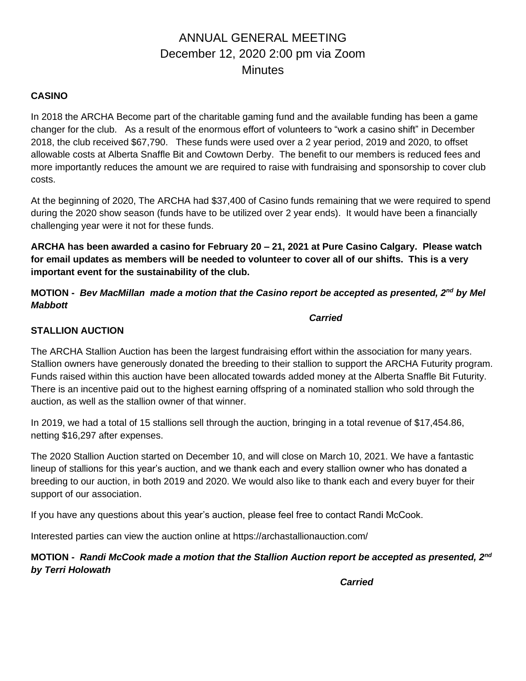### **CASINO**

In 2018 the ARCHA Become part of the charitable gaming fund and the available funding has been a game changer for the club. As a result of the enormous effort of volunteers to "work a casino shift" in December 2018, the club received \$67,790. These funds were used over a 2 year period, 2019 and 2020, to offset allowable costs at Alberta Snaffle Bit and Cowtown Derby. The benefit to our members is reduced fees and more importantly reduces the amount we are required to raise with fundraising and sponsorship to cover club costs.

At the beginning of 2020, The ARCHA had \$37,400 of Casino funds remaining that we were required to spend during the 2020 show season (funds have to be utilized over 2 year ends). It would have been a financially challenging year were it not for these funds.

**ARCHA has been awarded a casino for February 20 – 21, 2021 at Pure Casino Calgary. Please watch for email updates as members will be needed to volunteer to cover all of our shifts. This is a very important event for the sustainability of the club.** 

## **MOTION -** *Bev MacMillan made a motion that the Casino report be accepted as presented, 2nd by Mel Mabbott*

*Carried*

## **STALLION AUCTION**

The ARCHA Stallion Auction has been the largest fundraising effort within the association for many years. Stallion owners have generously donated the breeding to their stallion to support the ARCHA Futurity program. Funds raised within this auction have been allocated towards added money at the Alberta Snaffle Bit Futurity. There is an incentive paid out to the highest earning offspring of a nominated stallion who sold through the auction, as well as the stallion owner of that winner.

In 2019, we had a total of 15 stallions sell through the auction, bringing in a total revenue of \$17,454.86, netting \$16,297 after expenses.

The 2020 Stallion Auction started on December 10, and will close on March 10, 2021. We have a fantastic lineup of stallions for this year's auction, and we thank each and every stallion owner who has donated a breeding to our auction, in both 2019 and 2020. We would also like to thank each and every buyer for their support of our association.

If you have any questions about this year's auction, please feel free to contact Randi McCook.

Interested parties can view the auction online at https://archastallionauction.com/

**MOTION -** *Randi McCook made a motion that the Stallion Auction report be accepted as presented, 2nd by Terri Holowath*

*Carried*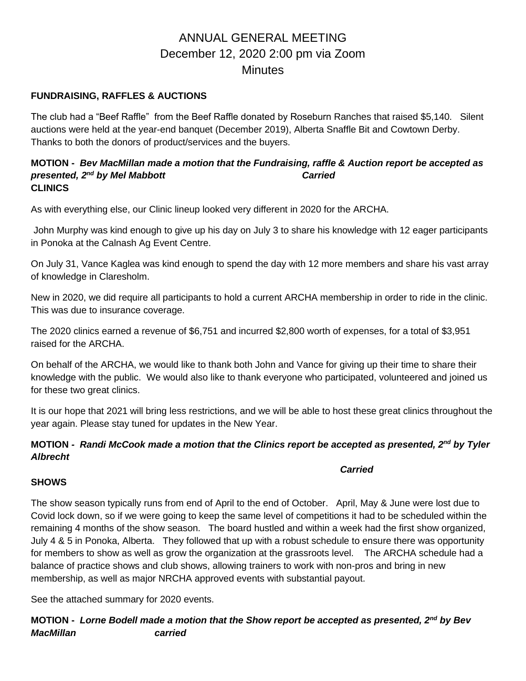### **FUNDRAISING, RAFFLES & AUCTIONS**

The club had a "Beef Raffle" from the Beef Raffle donated by Roseburn Ranches that raised \$5,140. Silent auctions were held at the year-end banquet (December 2019), Alberta Snaffle Bit and Cowtown Derby. Thanks to both the donors of product/services and the buyers.

#### **MOTION -** *Bev MacMillan made a motion that the Fundraising, raffle & Auction report be accepted as presented, 2<sup>nd</sup> by Mel Mabbott* **Carried** Carried **CLINICS**

As with everything else, our Clinic lineup looked very different in 2020 for the ARCHA.

John Murphy was kind enough to give up his day on July 3 to share his knowledge with 12 eager participants in Ponoka at the Calnash Ag Event Centre.

On July 31, Vance Kaglea was kind enough to spend the day with 12 more members and share his vast array of knowledge in Claresholm.

New in 2020, we did require all participants to hold a current ARCHA membership in order to ride in the clinic. This was due to insurance coverage.

The 2020 clinics earned a revenue of \$6,751 and incurred \$2,800 worth of expenses, for a total of \$3,951 raised for the ARCHA.

On behalf of the ARCHA, we would like to thank both John and Vance for giving up their time to share their knowledge with the public. We would also like to thank everyone who participated, volunteered and joined us for these two great clinics.

It is our hope that 2021 will bring less restrictions, and we will be able to host these great clinics throughout the year again. Please stay tuned for updates in the New Year.

## **MOTION** *- Randi McCook made a motion that the Clinics report be accepted as presented, 2nd by Tyler Albrecht*

#### *Carried*

#### **SHOWS**

The show season typically runs from end of April to the end of October. April, May & June were lost due to Covid lock down, so if we were going to keep the same level of competitions it had to be scheduled within the remaining 4 months of the show season. The board hustled and within a week had the first show organized, July 4 & 5 in Ponoka, Alberta. They followed that up with a robust schedule to ensure there was opportunity for members to show as well as grow the organization at the grassroots level. The ARCHA schedule had a balance of practice shows and club shows, allowing trainers to work with non-pros and bring in new membership, as well as major NRCHA approved events with substantial payout.

See the attached summary for 2020 events.

**MOTION -** *Lorne Bodell made a motion that the Show report be accepted as presented, 2nd by Bev MacMillan carried*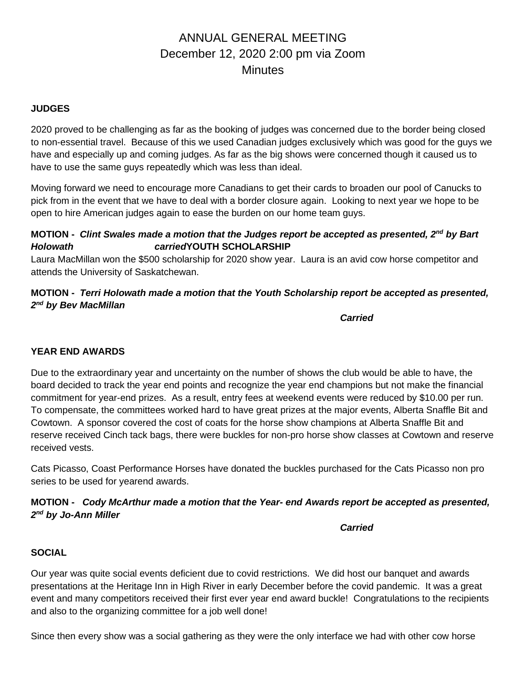#### **JUDGES**

2020 proved to be challenging as far as the booking of judges was concerned due to the border being closed to non-essential travel. Because of this we used Canadian judges exclusively which was good for the guys we have and especially up and coming judges. As far as the big shows were concerned though it caused us to have to use the same guys repeatedly which was less than ideal.

Moving forward we need to encourage more Canadians to get their cards to broaden our pool of Canucks to pick from in the event that we have to deal with a border closure again. Looking to next year we hope to be open to hire American judges again to ease the burden on our home team guys.

### **MOTION -** *Clint Swales made a motion that the Judges report be accepted as presented, 2nd by Bart Holowath carried***YOUTH SCHOLARSHIP**

Laura MacMillan won the \$500 scholarship for 2020 show year. Laura is an avid cow horse competitor and attends the University of Saskatchewan.

## **MOTION -** *Terri Holowath made a motion that the Youth Scholarship report be accepted as presented, 2 nd by Bev MacMillan*

*Carried*

#### **YEAR END AWARDS**

Due to the extraordinary year and uncertainty on the number of shows the club would be able to have, the board decided to track the year end points and recognize the year end champions but not make the financial commitment for year-end prizes. As a result, entry fees at weekend events were reduced by \$10.00 per run. To compensate, the committees worked hard to have great prizes at the major events, Alberta Snaffle Bit and Cowtown. A sponsor covered the cost of coats for the horse show champions at Alberta Snaffle Bit and reserve received Cinch tack bags, there were buckles for non-pro horse show classes at Cowtown and reserve received vests.

Cats Picasso, Coast Performance Horses have donated the buckles purchased for the Cats Picasso non pro series to be used for yearend awards.

### **MOTION -** *Cody McArthur made a motion that the Year- end Awards report be accepted as presented, 2 nd by Jo-Ann Miller*

*Carried*

#### **SOCIAL**

Our year was quite social events deficient due to covid restrictions. We did host our banquet and awards presentations at the Heritage Inn in High River in early December before the covid pandemic. It was a great event and many competitors received their first ever year end award buckle! Congratulations to the recipients and also to the organizing committee for a job well done!

Since then every show was a social gathering as they were the only interface we had with other cow horse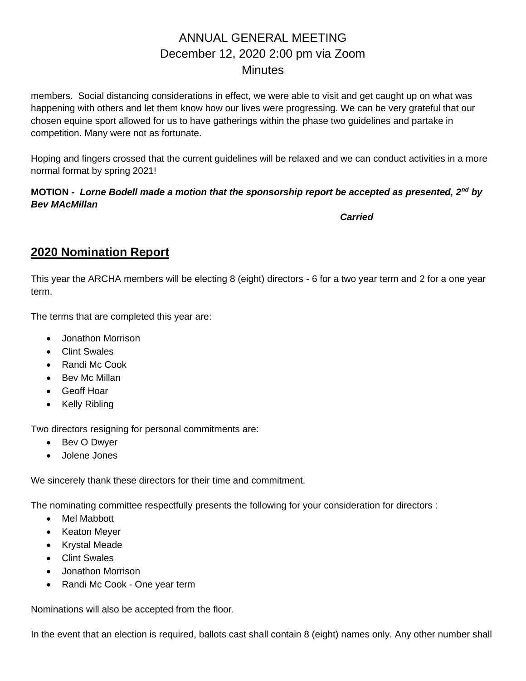members. Social distancing considerations in effect, we were able to visit and get caught up on what was happening with others and let them know how our lives were progressing. We can be very grateful that our chosen equine sport allowed for us to have gatherings within the phase two guidelines and partake in competition. Many were not as fortunate.

Hoping and fingers crossed that the current guidelines will be relaxed and we can conduct activities in a more normal format by spring 2021!

### **MOTION -** *Lorne Bodell made a motion that the sponsorship report be accepted as presented, 2nd by Bev MAcMillan*

*Carried*

## **2020 Nomination Report**

This year the ARCHA members will be electing 8 (eight) directors - 6 for a two year term and 2 for a one year term.

The terms that are completed this year are:

- Jonathon Morrison
- Clint Swales
- Randi Mc Cook
- Bev Mc Millan
- Geoff Hoar
- Kelly Ribling

Two directors resigning for personal commitments are:

- Bev O Dwyer
- Jolene Jones

We sincerely thank these directors for their time and commitment.

The nominating committee respectfully presents the following for your consideration for directors :

- Mel Mabbott
- Keaton Meyer
- Krystal Meade
- Clint Swales
- Jonathon Morrison
- Randi Mc Cook One year term

Nominations will also be accepted from the floor.

In the event that an election is required, ballots cast shall contain 8 (eight) names only. Any other number shall